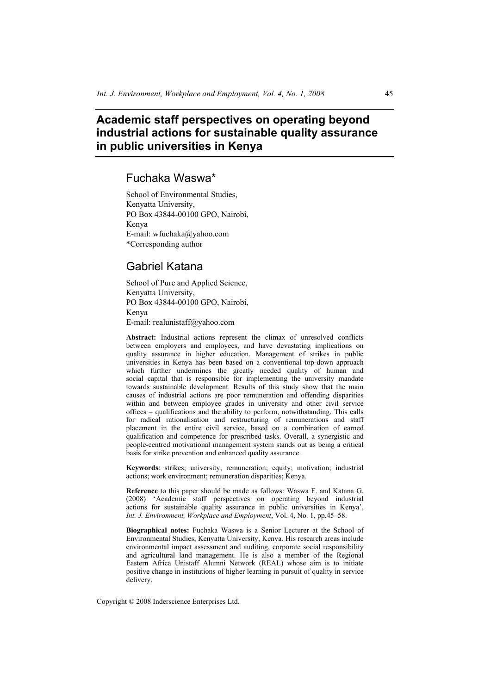# **Academic staff perspectives on operating beyond industrial actions for sustainable quality assurance in public universities in Kenya**

# Fuchaka Waswa\*

School of Environmental Studies, Kenyatta University, PO Box 43844-00100 GPO, Nairobi, Kenya E-mail: wfuchaka@yahoo.com \*Corresponding author

# Gabriel Katana

School of Pure and Applied Science, Kenyatta University, PO Box 43844-00100 GPO, Nairobi, Kenya E-mail: realunistaff@yahoo.com

**Abstract:** Industrial actions represent the climax of unresolved conflicts between employers and employees, and have devastating implications on quality assurance in higher education. Management of strikes in public universities in Kenya has been based on a conventional top-down approach which further undermines the greatly needed quality of human and social capital that is responsible for implementing the university mandate towards sustainable development. Results of this study show that the main causes of industrial actions are poor remuneration and offending disparities within and between employee grades in university and other civil service offices – qualifications and the ability to perform, notwithstanding. This calls for radical rationalisation and restructuring of remunerations and staff placement in the entire civil service, based on a combination of earned qualification and competence for prescribed tasks. Overall, a synergistic and people-centred motivational management system stands out as being a critical basis for strike prevention and enhanced quality assurance.

**Keywords**: strikes; university; remuneration; equity; motivation; industrial actions; work environment; remuneration disparities; Kenya.

**Reference** to this paper should be made as follows: Waswa F. and Katana G. (2008) 'Academic staff perspectives on operating beyond industrial actions for sustainable quality assurance in public universities in Kenya', *Int. J. Environment, Workplace and Employment*, Vol. 4, No. 1, pp.45–58.

**Biographical notes:** Fuchaka Waswa is a Senior Lecturer at the School of Environmental Studies, Kenyatta University, Kenya. His research areas include environmental impact assessment and auditing, corporate social responsibility and agricultural land management. He is also a member of the Regional Eastern Africa Unistaff Alumni Network (REAL) whose aim is to initiate positive change in institutions of higher learning in pursuit of quality in service delivery.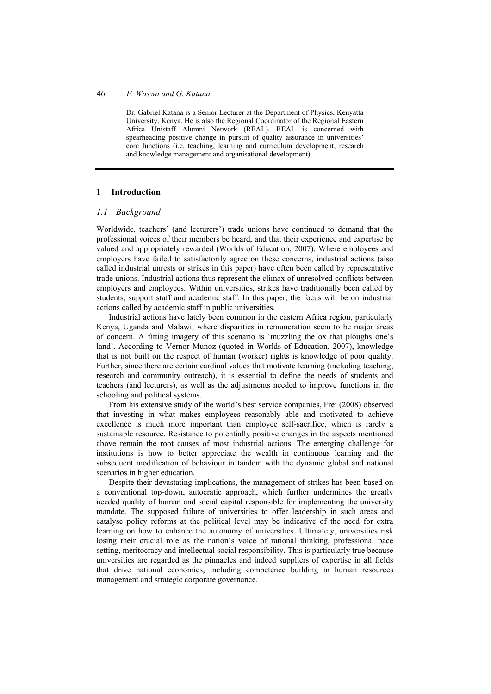Dr. Gabriel Katana is a Senior Lecturer at the Department of Physics, Kenyatta University, Kenya. He is also the Regional Coordinator of the Regional Eastern Africa Unistaff Alumni Network (REAL). REAL is concerned with spearheading positive change in pursuit of quality assurance in universities' core functions (i.e. teaching, learning and curriculum development, research and knowledge management and organisational development).

#### **1 Introduction**

#### *1.1 Background*

Worldwide, teachers' (and lecturers') trade unions have continued to demand that the professional voices of their members be heard, and that their experience and expertise be valued and appropriately rewarded (Worlds of Education, 2007). Where employees and employers have failed to satisfactorily agree on these concerns, industrial actions (also called industrial unrests or strikes in this paper) have often been called by representative trade unions. Industrial actions thus represent the climax of unresolved conflicts between employers and employees. Within universities, strikes have traditionally been called by students, support staff and academic staff. In this paper, the focus will be on industrial actions called by academic staff in public universities.

Industrial actions have lately been common in the eastern Africa region, particularly Kenya, Uganda and Malawi, where disparities in remuneration seem to be major areas of concern. A fitting imagery of this scenario is 'muzzling the ox that ploughs one's land'. According to Vernor Munoz (quoted in Worlds of Education, 2007), knowledge that is not built on the respect of human (worker) rights is knowledge of poor quality. Further, since there are certain cardinal values that motivate learning (including teaching, research and community outreach), it is essential to define the needs of students and teachers (and lecturers), as well as the adjustments needed to improve functions in the schooling and political systems.

From his extensive study of the world's best service companies, Frei (2008) observed that investing in what makes employees reasonably able and motivated to achieve excellence is much more important than employee self-sacrifice, which is rarely a sustainable resource. Resistance to potentially positive changes in the aspects mentioned above remain the root causes of most industrial actions. The emerging challenge for institutions is how to better appreciate the wealth in continuous learning and the subsequent modification of behaviour in tandem with the dynamic global and national scenarios in higher education.

Despite their devastating implications, the management of strikes has been based on a conventional top-down, autocratic approach, which further undermines the greatly needed quality of human and social capital responsible for implementing the university mandate. The supposed failure of universities to offer leadership in such areas and catalyse policy reforms at the political level may be indicative of the need for extra learning on how to enhance the autonomy of universities. Ultimately, universities risk losing their crucial role as the nation's voice of rational thinking, professional pace setting, meritocracy and intellectual social responsibility. This is particularly true because universities are regarded as the pinnacles and indeed suppliers of expertise in all fields that drive national economies, including competence building in human resources management and strategic corporate governance.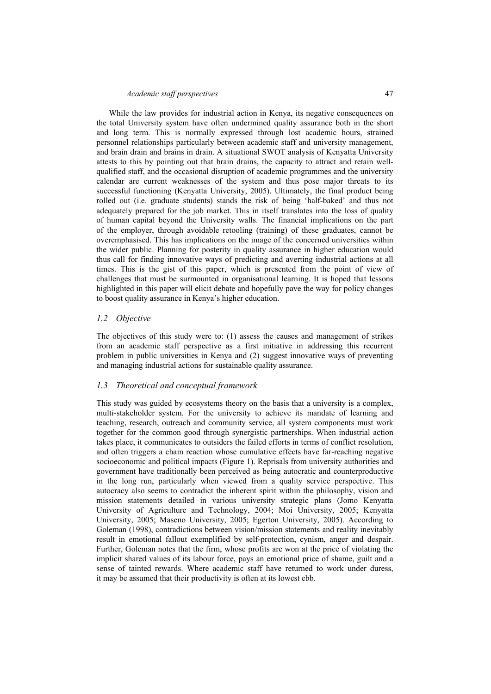## *Academic staff perspectives* 47

While the law provides for industrial action in Kenya, its negative consequences on the total University system have often undermined quality assurance both in the short and long term. This is normally expressed through lost academic hours, strained personnel relationships particularly between academic staff and university management, and brain drain and brains in drain. A situational SWOT analysis of Kenyatta University attests to this by pointing out that brain drains, the capacity to attract and retain wellqualified staff, and the occasional disruption of academic programmes and the university calendar are current weaknesses of the system and thus pose major threats to its successful functioning (Kenyatta University, 2005). Ultimately, the final product being rolled out (i.e. graduate students) stands the risk of being 'half-baked' and thus not adequately prepared for the job market. This in itself translates into the loss of quality of human capital beyond the University walls. The financial implications on the part of the employer, through avoidable retooling (training) of these graduates, cannot be overemphasised. This has implications on the image of the concerned universities within the wider public. Planning for posterity in quality assurance in higher education would thus call for finding innovative ways of predicting and averting industrial actions at all times. This is the gist of this paper, which is presented from the point of view of challenges that must be surmounted in organisational learning. It is hoped that lessons highlighted in this paper will elicit debate and hopefully pave the way for policy changes to boost quality assurance in Kenya's higher education.

#### *1.2 Objective*

The objectives of this study were to: (1) assess the causes and management of strikes from an academic staff perspective as a first initiative in addressing this recurrent problem in public universities in Kenya and (2) suggest innovative ways of preventing and managing industrial actions for sustainable quality assurance.

### *1.3 Theoretical and conceptual framework*

This study was guided by ecosystems theory on the basis that a university is a complex, multi-stakeholder system. For the university to achieve its mandate of learning and teaching, research, outreach and community service, all system components must work together for the common good through synergistic partnerships. When industrial action takes place, it communicates to outsiders the failed efforts in terms of conflict resolution, and often triggers a chain reaction whose cumulative effects have far-reaching negative socioeconomic and political impacts (Figure 1). Reprisals from university authorities and government have traditionally been perceived as being autocratic and counterproductive in the long run, particularly when viewed from a quality service perspective. This autocracy also seems to contradict the inherent spirit within the philosophy, vision and mission statements detailed in various university strategic plans (Jomo Kenyatta University of Agriculture and Technology, 2004; Moi University, 2005; Kenyatta University, 2005; Maseno University, 2005; Egerton University, 2005). According to Goleman (1998), contradictions between vision/mission statements and reality inevitably result in emotional fallout exemplified by self-protection, cynism, anger and despair. Further, Goleman notes that the firm, whose profits are won at the price of violating the implicit shared values of its labour force, pays an emotional price of shame, guilt and a sense of tainted rewards. Where academic staff have returned to work under duress, it may be assumed that their productivity is often at its lowest ebb.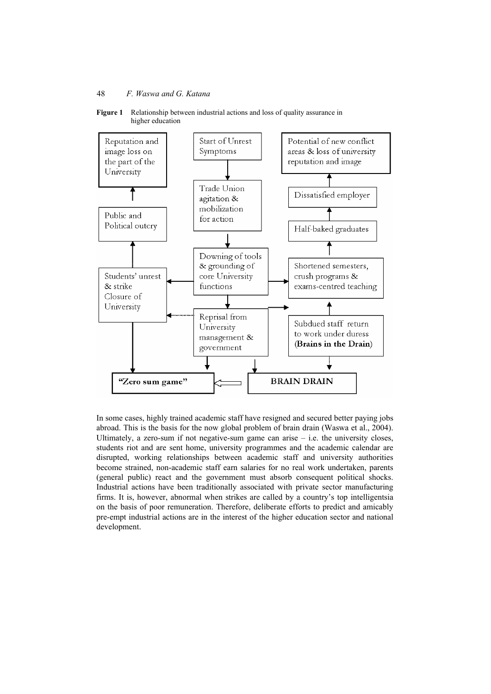



In some cases, highly trained academic staff have resigned and secured better paying jobs abroad. This is the basis for the now global problem of brain drain (Waswa et al., 2004). Ultimately, a zero-sum if not negative-sum game can arise  $-$  i.e. the university closes, students riot and are sent home, university programmes and the academic calendar are disrupted, working relationships between academic staff and university authorities become strained, non-academic staff earn salaries for no real work undertaken, parents (general public) react and the government must absorb consequent political shocks. Industrial actions have been traditionally associated with private sector manufacturing firms. It is, however, abnormal when strikes are called by a country's top intelligentsia on the basis of poor remuneration. Therefore, deliberate efforts to predict and amicably pre-empt industrial actions are in the interest of the higher education sector and national development.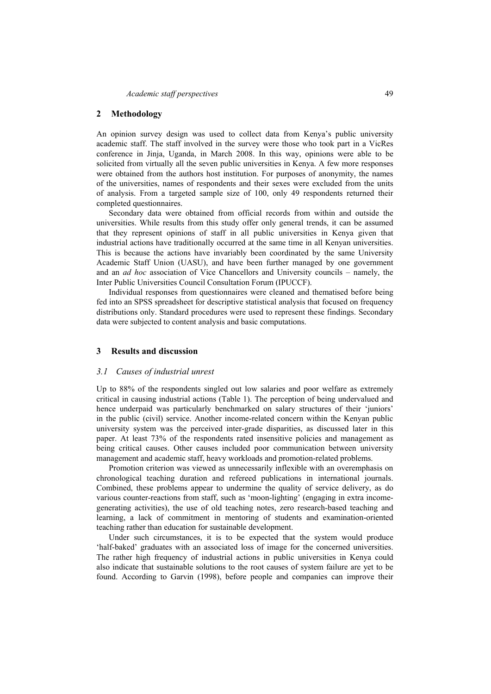#### **2 Methodology**

An opinion survey design was used to collect data from Kenya's public university academic staff. The staff involved in the survey were those who took part in a VicRes conference in Jinja, Uganda, in March 2008. In this way, opinions were able to be solicited from virtually all the seven public universities in Kenya. A few more responses were obtained from the authors host institution. For purposes of anonymity, the names of the universities, names of respondents and their sexes were excluded from the units of analysis. From a targeted sample size of 100, only 49 respondents returned their completed questionnaires.

Secondary data were obtained from official records from within and outside the universities. While results from this study offer only general trends, it can be assumed that they represent opinions of staff in all public universities in Kenya given that industrial actions have traditionally occurred at the same time in all Kenyan universities. This is because the actions have invariably been coordinated by the same University Academic Staff Union (UASU), and have been further managed by one government and an *ad hoc* association of Vice Chancellors and University councils – namely, the Inter Public Universities Council Consultation Forum (IPUCCF).

Individual responses from questionnaires were cleaned and thematised before being fed into an SPSS spreadsheet for descriptive statistical analysis that focused on frequency distributions only. Standard procedures were used to represent these findings. Secondary data were subjected to content analysis and basic computations.

## **3 Results and discussion**

#### *3.1 Causes of industrial unrest*

Up to 88% of the respondents singled out low salaries and poor welfare as extremely critical in causing industrial actions (Table 1). The perception of being undervalued and hence underpaid was particularly benchmarked on salary structures of their 'juniors' in the public (civil) service. Another income-related concern within the Kenyan public university system was the perceived inter-grade disparities, as discussed later in this paper. At least 73% of the respondents rated insensitive policies and management as being critical causes. Other causes included poor communication between university management and academic staff, heavy workloads and promotion-related problems.

Promotion criterion was viewed as unnecessarily inflexible with an overemphasis on chronological teaching duration and refereed publications in international journals. Combined, these problems appear to undermine the quality of service delivery, as do various counter-reactions from staff, such as 'moon-lighting' (engaging in extra incomegenerating activities), the use of old teaching notes, zero research-based teaching and learning, a lack of commitment in mentoring of students and examination-oriented teaching rather than education for sustainable development.

Under such circumstances, it is to be expected that the system would produce 'half-baked' graduates with an associated loss of image for the concerned universities. The rather high frequency of industrial actions in public universities in Kenya could also indicate that sustainable solutions to the root causes of system failure are yet to be found. According to Garvin (1998), before people and companies can improve their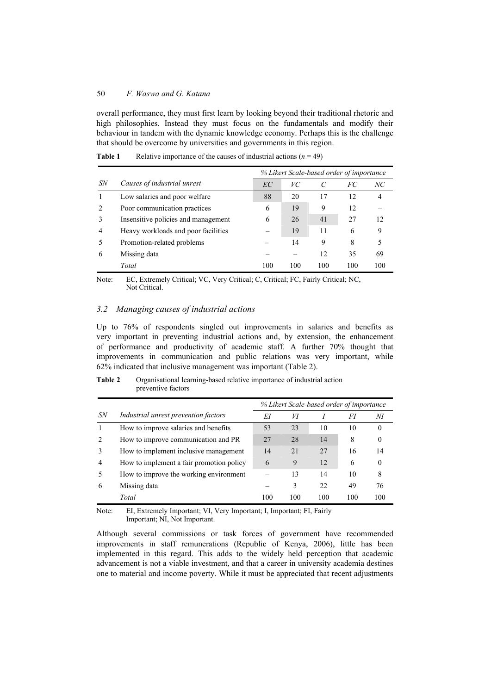overall performance, they must first learn by looking beyond their traditional rhetoric and high philosophies. Instead they must focus on the fundamentals and modify their behaviour in tandem with the dynamic knowledge economy. Perhaps this is the challenge that should be overcome by universities and governments in this region.

**Table 1** Relative importance of the causes of industrial actions  $(n = 49)$ 

|               |                                     | % Likert Scale-based order of importance |     |     |     |     |
|---------------|-------------------------------------|------------------------------------------|-----|-----|-----|-----|
| SN            | Causes of industrial unrest         | EC                                       | VC. | C   | FC  | NС  |
|               | Low salaries and poor welfare       | 88                                       | 20  | 17  | 12  | 4   |
| $\mathcal{D}$ | Poor communication practices        | 6                                        | 19  | 9   | 12  |     |
| 3             | Insensitive policies and management | 6                                        | 26  | 41  | 27  | 12  |
| 4             | Heavy workloads and poor facilities |                                          | 19  | 11  | 6   | 9   |
| 5             | Promotion-related problems          |                                          | 14  | 9   | 8   | 5   |
| 6             | Missing data                        |                                          |     | 12  | 35  | 69  |
|               | Total                               | 100                                      | 100 | 100 | 100 | 100 |

Note: EC, Extremely Critical; VC, Very Critical; C, Critical; FC, Fairly Critical; NC, Not Critical.

## *3.2 Managing causes of industrial actions*

Up to 76% of respondents singled out improvements in salaries and benefits as very important in preventing industrial actions and, by extension, the enhancement of performance and productivity of academic staff. A further 70% thought that improvements in communication and public relations was very important, while 62% indicated that inclusive management was important (Table 2).

|    |                                          | % Likert Scale-based order of importance |     |     |     |          |
|----|------------------------------------------|------------------------------------------|-----|-----|-----|----------|
| SN | Industrial unrest prevention factors     | EI                                       | И   |     | FI  | NI       |
|    | How to improve salaries and benefits     |                                          | 23  | 10  | 10  | $\Omega$ |
|    | How to improve communication and PR      |                                          | 28  | 14  | 8   | $\theta$ |
| 3  | How to implement inclusive management    |                                          | 21  | 27  | 16  | 14       |
| 4  | How to implement a fair promotion policy | 6                                        | 9   | 12  | 6   | $\theta$ |
| 5  | How to improve the working environment   |                                          | 13  | 14  | 10  | 8        |
| 6  | Missing data                             |                                          | 3   | 22  | 49  | 76       |
|    | Total                                    | 100                                      | 100 | 100 | 100 | 100      |

**Table 2** Organisational learning-based relative importance of industrial action preventive factors

Note: EI, Extremely Important; VI, Very Important; I, Important; FI, Fairly Important; NI, Not Important.

Although several commissions or task forces of government have recommended improvements in staff remunerations (Republic of Kenya, 2006), little has been implemented in this regard. This adds to the widely held perception that academic advancement is not a viable investment, and that a career in university academia destines one to material and income poverty. While it must be appreciated that recent adjustments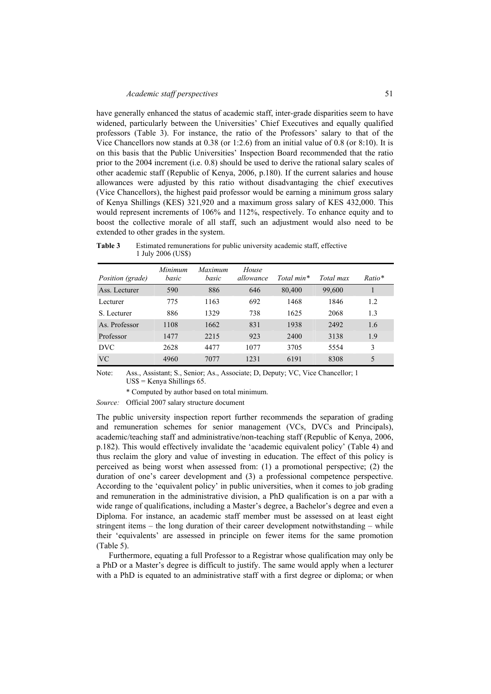have generally enhanced the status of academic staff, inter-grade disparities seem to have widened, particularly between the Universities' Chief Executives and equally qualified professors (Table 3). For instance, the ratio of the Professors' salary to that of the Vice Chancellors now stands at  $0.38$  (or  $1:2.6$ ) from an initial value of  $0.8$  (or  $8:10$ ). It is on this basis that the Public Universities' Inspection Board recommended that the ratio prior to the 2004 increment (i.e. 0.8) should be used to derive the rational salary scales of other academic staff (Republic of Kenya, 2006, p.180). If the current salaries and house allowances were adjusted by this ratio without disadvantaging the chief executives (Vice Chancellors), the highest paid professor would be earning a minimum gross salary of Kenya Shillings (KES) 321,920 and a maximum gross salary of KES 432,000. This would represent increments of 106% and 112%, respectively. To enhance equity and to boost the collective morale of all staff, such an adjustment would also need to be extended to other grades in the system.

| <i>Position (grade)</i> | Minimum<br>basic | Maximum<br>basic | House<br>allowance | Total min* | Total max | Ratio* |
|-------------------------|------------------|------------------|--------------------|------------|-----------|--------|
| Ass. Lecturer           | 590              | 886              | 646                | 80,400     | 99,600    |        |
| Lecturer                | 775              | 1163             | 692                | 1468       | 1846      | 1.2    |
| S. Lecturer             | 886              | 1329             | 738                | 1625       | 2068      | 1.3    |
| As. Professor           | 1108             | 1662             | 831                | 1938       | 2492      | 1.6    |
| Professor               | 1477             | 2215             | 923                | 2400       | 3138      | 1.9    |
| <b>DVC</b>              | 2628             | 4477             | 1077               | 3705       | 5554      | 3      |
| <b>VC</b>               | 4960             | 7077             | 1231               | 6191       | 8308      | 5      |

**Table 3** Estimated remunerations for public university academic staff, effective 1 July 2006 (US\$)

Note: Ass., Assistant; S., Senior; As., Associate; D, Deputy; VC, Vice Chancellor; 1 US\$ = Kenya Shillings 65.

\* Computed by author based on total minimum.

*Source:* Official 2007 salary structure document

The public university inspection report further recommends the separation of grading and remuneration schemes for senior management (VCs, DVCs and Principals), academic/teaching staff and administrative/non-teaching staff (Republic of Kenya, 2006, p.182). This would effectively invalidate the 'academic equivalent policy' (Table 4) and thus reclaim the glory and value of investing in education. The effect of this policy is perceived as being worst when assessed from: (1) a promotional perspective; (2) the duration of one's career development and (3) a professional competence perspective. According to the 'equivalent policy' in public universities, when it comes to job grading and remuneration in the administrative division, a PhD qualification is on a par with a wide range of qualifications, including a Master's degree, a Bachelor's degree and even a Diploma. For instance, an academic staff member must be assessed on at least eight stringent items – the long duration of their career development notwithstanding – while their 'equivalents' are assessed in principle on fewer items for the same promotion (Table 5).

Furthermore, equating a full Professor to a Registrar whose qualification may only be a PhD or a Master's degree is difficult to justify. The same would apply when a lecturer with a PhD is equated to an administrative staff with a first degree or diploma; or when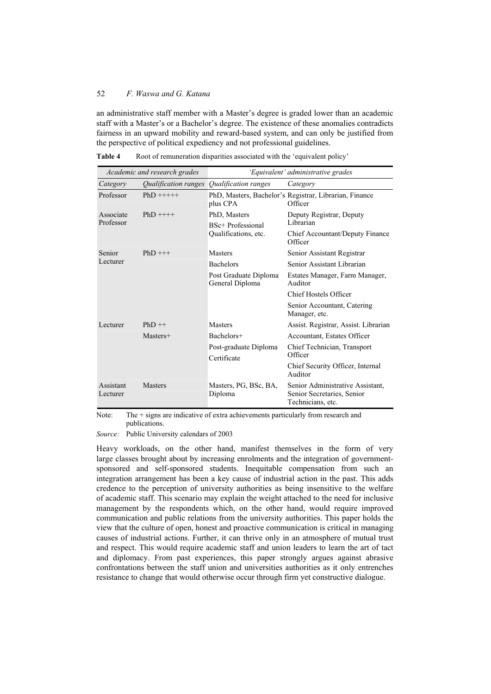an administrative staff member with a Master's degree is graded lower than an academic staff with a Master's or a Bachelor's degree. The existence of these anomalies contradicts fairness in an upward mobility and reward-based system, and can only be justified from the perspective of political expediency and not professional guidelines.

Table 4 Root of remuneration disparities associated with the 'equivalent policy'

| Academic and research grades |                                    | 'Equivalent' administrative grades                        |                                                                                     |  |
|------------------------------|------------------------------------|-----------------------------------------------------------|-------------------------------------------------------------------------------------|--|
| Category                     | <i><b>Oualification ranges</b></i> | <i><b>Oualification ranges</b></i>                        | Category                                                                            |  |
| Professor                    | $PhD$ +++++                        | plus CPA                                                  | PhD, Masters, Bachelor's Registrar, Librarian, Finance<br>Officer                   |  |
| Associate<br>Professor       | $PhD$ ++++                         | PhD, Masters<br>BSc+ Professional<br>Qualifications, etc. | Deputy Registrar, Deputy<br>Librarian<br>Chief Accountant/Deputy Finance<br>Officer |  |
| Senior<br>Lecturer           | $PhD$ +++                          | <b>Masters</b><br><b>Bachelors</b>                        | Senior Assistant Registrar<br>Senior Assistant Librarian                            |  |
|                              |                                    | Post Graduate Diploma<br>General Diploma                  | Estates Manager, Farm Manager,<br>Auditor                                           |  |
|                              |                                    |                                                           | Chief Hostels Officer                                                               |  |
|                              |                                    |                                                           | Senior Accountant, Catering<br>Manager, etc.                                        |  |
| Lecturer                     | $PhD++$                            | <b>Masters</b>                                            | Assist. Registrar, Assist. Librarian                                                |  |
|                              | Masters+                           | Bachelors+                                                | Accountant, Estates Officer                                                         |  |
|                              |                                    | Post-graduate Diploma<br>Certificate                      | Chief Technician, Transport<br>Officer                                              |  |
|                              |                                    |                                                           | Chief Security Officer, Internal<br>Auditor                                         |  |
| Assistant<br>Lecturer        | <b>Masters</b>                     | Masters, PG, BSc, BA,<br>Diploma                          | Senior Administrative Assistant,<br>Senior Secretaries, Senior<br>Technicians, etc. |  |

Note: The + signs are indicative of extra achievements particularly from research and publications.

*Source:* Public University calendars of 2003

Heavy workloads, on the other hand, manifest themselves in the form of very large classes brought about by increasing enrolments and the integration of governmentsponsored and self-sponsored students. Inequitable compensation from such an integration arrangement has been a key cause of industrial action in the past. This adds credence to the perception of university authorities as being insensitive to the welfare of academic staff. This scenario may explain the weight attached to the need for inclusive management by the respondents which, on the other hand, would require improved communication and public relations from the university authorities. This paper holds the view that the culture of open, honest and proactive communication is critical in managing causes of industrial actions. Further, it can thrive only in an atmosphere of mutual trust and respect. This would require academic staff and union leaders to learn the art of tact and diplomacy. From past experiences, this paper strongly argues against abrasive confrontations between the staff union and universities authorities as it only entrenches resistance to change that would otherwise occur through firm yet constructive dialogue.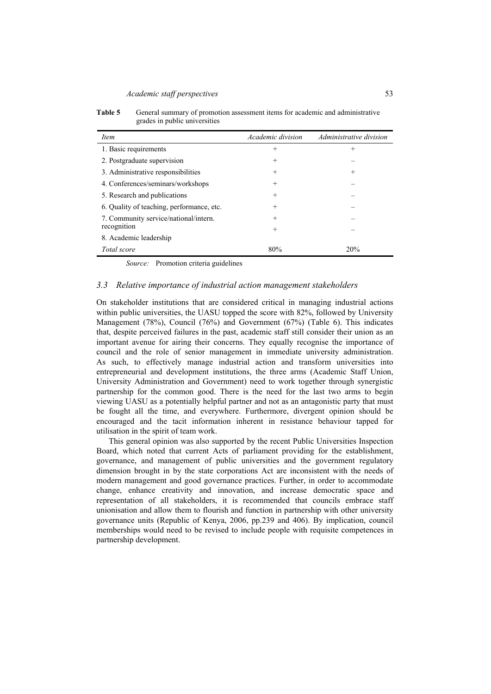Table 5 General summary of promotion assessment items for academic and administrative grades in public universities

| Item                                      | Academic division | Administrative division |
|-------------------------------------------|-------------------|-------------------------|
| 1. Basic requirements                     | $^{+}$            | $^+$                    |
| 2. Postgraduate supervision               | $^{+}$            |                         |
| 3. Administrative responsibilities        | $^{+}$            | $^{+}$                  |
| 4. Conferences/seminars/workshops         | $\overline{+}$    |                         |
| 5. Research and publications              | $^{+}$            |                         |
| 6. Quality of teaching, performance, etc. | $^{+}$            |                         |
| 7. Community service/national/intern.     | $^{+}$            |                         |
| recognition                               | $^{+}$            |                         |
| 8. Academic leadership                    |                   |                         |
| Total score                               | 80%               | 20%                     |

*Source:* Promotion criteria guidelines

### *3.3 Relative importance of industrial action management stakeholders*

On stakeholder institutions that are considered critical in managing industrial actions within public universities, the UASU topped the score with 82%, followed by University Management (78%), Council (76%) and Government (67%) (Table 6). This indicates that, despite perceived failures in the past, academic staff still consider their union as an important avenue for airing their concerns. They equally recognise the importance of council and the role of senior management in immediate university administration. As such, to effectively manage industrial action and transform universities into entrepreneurial and development institutions, the three arms (Academic Staff Union, University Administration and Government) need to work together through synergistic partnership for the common good. There is the need for the last two arms to begin viewing UASU as a potentially helpful partner and not as an antagonistic party that must be fought all the time, and everywhere. Furthermore, divergent opinion should be encouraged and the tacit information inherent in resistance behaviour tapped for utilisation in the spirit of team work.

This general opinion was also supported by the recent Public Universities Inspection Board, which noted that current Acts of parliament providing for the establishment, governance, and management of public universities and the government regulatory dimension brought in by the state corporations Act are inconsistent with the needs of modern management and good governance practices. Further, in order to accommodate change, enhance creativity and innovation, and increase democratic space and representation of all stakeholders, it is recommended that councils embrace staff unionisation and allow them to flourish and function in partnership with other university governance units (Republic of Kenya, 2006, pp.239 and 406). By implication, council memberships would need to be revised to include people with requisite competences in partnership development.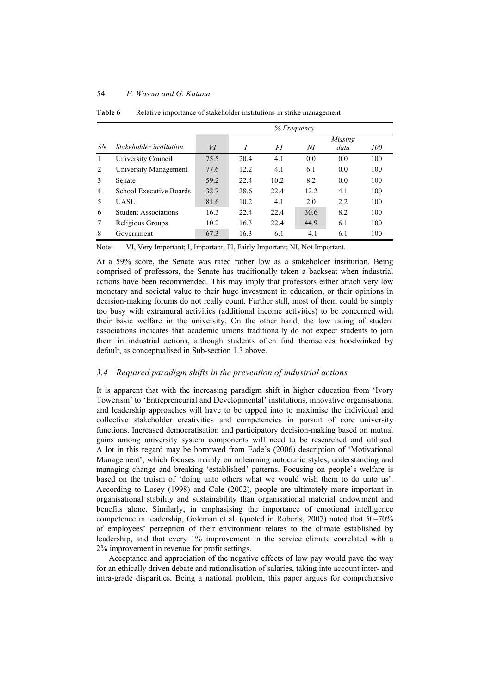|                |                                | % Frequency |                |      |        |                 |     |
|----------------|--------------------------------|-------------|----------------|------|--------|-----------------|-----|
| SN             | Stakeholder institution        | VI          | $\overline{I}$ | FI   | $N\!I$ | Missing<br>data | 100 |
| 1              | University Council             | 75.5        | 20.4           | 4.1  | 0.0    | 0.0             | 100 |
| $\overline{c}$ | University Management          | 77.6        | 12.2           | 4.1  | 6.1    | 0.0             | 100 |
| 3              | Senate                         | 59.2        | 22.4           | 10.2 | 8.2    | 0.0             | 100 |
| 4              | <b>School Executive Boards</b> | 32.7        | 28.6           | 22.4 | 12.2.  | 4.1             | 100 |
| 5              | UASU                           | 81.6        | 10.2           | 4.1  | 2.0    | 2.2             | 100 |
| 6              | <b>Student Associations</b>    | 16.3        | 22.4           | 22.4 | 30.6   | 8.2             | 100 |
| 7              | Religious Groups               | 10.2        | 16.3           | 22.4 | 44.9   | 6.1             | 100 |
| 8              | Government                     | 67.3        | 16.3           | 6.1  | 4.1    | 6.1             | 100 |

**Table 6** Relative importance of stakeholder institutions in strike management

Note: VI, Very Important; I, Important; FI, Fairly Important; NI, Not Important.

At a 59% score, the Senate was rated rather low as a stakeholder institution. Being comprised of professors, the Senate has traditionally taken a backseat when industrial actions have been recommended. This may imply that professors either attach very low monetary and societal value to their huge investment in education, or their opinions in decision-making forums do not really count. Further still, most of them could be simply too busy with extramural activities (additional income activities) to be concerned with their basic welfare in the university. On the other hand, the low rating of student associations indicates that academic unions traditionally do not expect students to join them in industrial actions, although students often find themselves hoodwinked by default, as conceptualised in Sub-section 1.3 above.

#### *3.4 Required paradigm shifts in the prevention of industrial actions*

It is apparent that with the increasing paradigm shift in higher education from 'Ivory Towerism' to 'Entrepreneurial and Developmental' institutions, innovative organisational and leadership approaches will have to be tapped into to maximise the individual and collective stakeholder creativities and competencies in pursuit of core university functions. Increased democratisation and participatory decision-making based on mutual gains among university system components will need to be researched and utilised. A lot in this regard may be borrowed from Eade's (2006) description of 'Motivational Management', which focuses mainly on unlearning autocratic styles, understanding and managing change and breaking 'established' patterns. Focusing on people's welfare is based on the truism of 'doing unto others what we would wish them to do unto us'. According to Losey (1998) and Cole (2002), people are ultimately more important in organisational stability and sustainability than organisational material endowment and benefits alone. Similarly, in emphasising the importance of emotional intelligence competence in leadership, Goleman et al. (quoted in Roberts, 2007) noted that 50–70% of employees' perception of their environment relates to the climate established by leadership, and that every 1% improvement in the service climate correlated with a 2% improvement in revenue for profit settings.

Acceptance and appreciation of the negative effects of low pay would pave the way for an ethically driven debate and rationalisation of salaries, taking into account inter- and intra-grade disparities. Being a national problem, this paper argues for comprehensive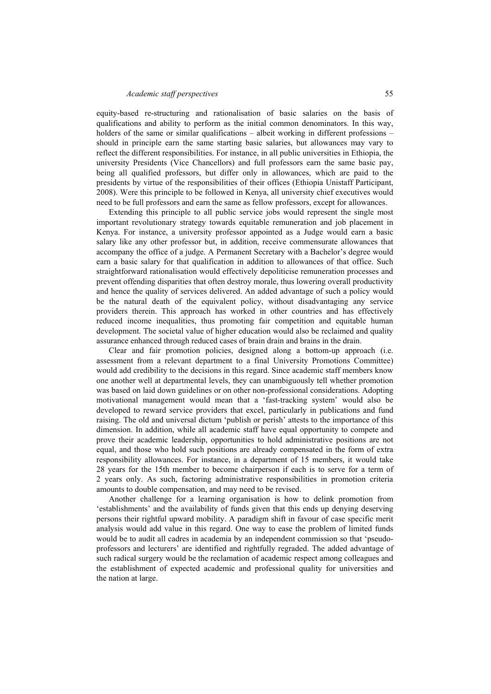## *Academic staff perspectives* 55

equity-based re-structuring and rationalisation of basic salaries on the basis of qualifications and ability to perform as the initial common denominators. In this way, holders of the same or similar qualifications – albeit working in different professions – should in principle earn the same starting basic salaries, but allowances may vary to reflect the different responsibilities. For instance, in all public universities in Ethiopia, the university Presidents (Vice Chancellors) and full professors earn the same basic pay, being all qualified professors, but differ only in allowances, which are paid to the presidents by virtue of the responsibilities of their offices (Ethiopia Unistaff Participant, 2008). Were this principle to be followed in Kenya, all university chief executives would need to be full professors and earn the same as fellow professors, except for allowances.

Extending this principle to all public service jobs would represent the single most important revolutionary strategy towards equitable remuneration and job placement in Kenya. For instance, a university professor appointed as a Judge would earn a basic salary like any other professor but, in addition, receive commensurate allowances that accompany the office of a judge. A Permanent Secretary with a Bachelor's degree would earn a basic salary for that qualification in addition to allowances of that office. Such straightforward rationalisation would effectively depoliticise remuneration processes and prevent offending disparities that often destroy morale, thus lowering overall productivity and hence the quality of services delivered. An added advantage of such a policy would be the natural death of the equivalent policy, without disadvantaging any service providers therein. This approach has worked in other countries and has effectively reduced income inequalities, thus promoting fair competition and equitable human development. The societal value of higher education would also be reclaimed and quality assurance enhanced through reduced cases of brain drain and brains in the drain.

Clear and fair promotion policies, designed along a bottom-up approach (i.e. assessment from a relevant department to a final University Promotions Committee) would add credibility to the decisions in this regard. Since academic staff members know one another well at departmental levels, they can unambiguously tell whether promotion was based on laid down guidelines or on other non-professional considerations. Adopting motivational management would mean that a 'fast-tracking system' would also be developed to reward service providers that excel, particularly in publications and fund raising. The old and universal dictum 'publish or perish' attests to the importance of this dimension. In addition, while all academic staff have equal opportunity to compete and prove their academic leadership, opportunities to hold administrative positions are not equal, and those who hold such positions are already compensated in the form of extra responsibility allowances. For instance, in a department of 15 members, it would take 28 years for the 15th member to become chairperson if each is to serve for a term of 2 years only. As such, factoring administrative responsibilities in promotion criteria amounts to double compensation, and may need to be revised.

Another challenge for a learning organisation is how to delink promotion from 'establishments' and the availability of funds given that this ends up denying deserving persons their rightful upward mobility. A paradigm shift in favour of case specific merit analysis would add value in this regard. One way to ease the problem of limited funds would be to audit all cadres in academia by an independent commission so that 'pseudoprofessors and lecturers' are identified and rightfully regraded. The added advantage of such radical surgery would be the reclamation of academic respect among colleagues and the establishment of expected academic and professional quality for universities and the nation at large.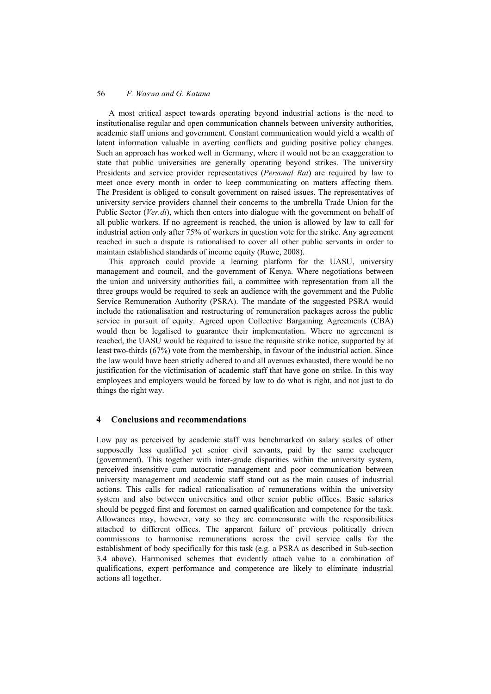A most critical aspect towards operating beyond industrial actions is the need to institutionalise regular and open communication channels between university authorities, academic staff unions and government. Constant communication would yield a wealth of latent information valuable in averting conflicts and guiding positive policy changes. Such an approach has worked well in Germany, where it would not be an exaggeration to state that public universities are generally operating beyond strikes. The university Presidents and service provider representatives (*Personal Rat*) are required by law to meet once every month in order to keep communicating on matters affecting them. The President is obliged to consult government on raised issues. The representatives of university service providers channel their concerns to the umbrella Trade Union for the Public Sector (*Ver.di*), which then enters into dialogue with the government on behalf of all public workers. If no agreement is reached, the union is allowed by law to call for industrial action only after 75% of workers in question vote for the strike. Any agreement reached in such a dispute is rationalised to cover all other public servants in order to maintain established standards of income equity (Ruwe, 2008).

This approach could provide a learning platform for the UASU, university management and council, and the government of Kenya. Where negotiations between the union and university authorities fail, a committee with representation from all the three groups would be required to seek an audience with the government and the Public Service Remuneration Authority (PSRA). The mandate of the suggested PSRA would include the rationalisation and restructuring of remuneration packages across the public service in pursuit of equity. Agreed upon Collective Bargaining Agreements (CBA) would then be legalised to guarantee their implementation. Where no agreement is reached, the UASU would be required to issue the requisite strike notice, supported by at least two-thirds (67%) vote from the membership, in favour of the industrial action. Since the law would have been strictly adhered to and all avenues exhausted, there would be no justification for the victimisation of academic staff that have gone on strike. In this way employees and employers would be forced by law to do what is right, and not just to do things the right way.

#### **4 Conclusions and recommendations**

Low pay as perceived by academic staff was benchmarked on salary scales of other supposedly less qualified yet senior civil servants, paid by the same exchequer (government). This together with inter-grade disparities within the university system, perceived insensitive cum autocratic management and poor communication between university management and academic staff stand out as the main causes of industrial actions. This calls for radical rationalisation of remunerations within the university system and also between universities and other senior public offices. Basic salaries should be pegged first and foremost on earned qualification and competence for the task. Allowances may, however, vary so they are commensurate with the responsibilities attached to different offices. The apparent failure of previous politically driven commissions to harmonise remunerations across the civil service calls for the establishment of body specifically for this task (e.g. a PSRA as described in Sub-section 3.4 above). Harmonised schemes that evidently attach value to a combination of qualifications, expert performance and competence are likely to eliminate industrial actions all together.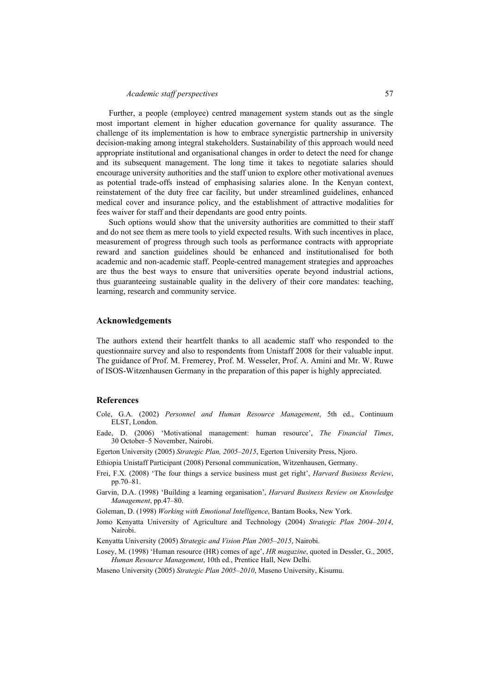### *Academic staff perspectives* 57

Further, a people (employee) centred management system stands out as the single most important element in higher education governance for quality assurance. The challenge of its implementation is how to embrace synergistic partnership in university decision-making among integral stakeholders. Sustainability of this approach would need appropriate institutional and organisational changes in order to detect the need for change and its subsequent management. The long time it takes to negotiate salaries should encourage university authorities and the staff union to explore other motivational avenues as potential trade-offs instead of emphasising salaries alone. In the Kenyan context, reinstatement of the duty free car facility, but under streamlined guidelines, enhanced medical cover and insurance policy, and the establishment of attractive modalities for fees waiver for staff and their dependants are good entry points.

Such options would show that the university authorities are committed to their staff and do not see them as mere tools to yield expected results. With such incentives in place, measurement of progress through such tools as performance contracts with appropriate reward and sanction guidelines should be enhanced and institutionalised for both academic and non-academic staff. People-centred management strategies and approaches are thus the best ways to ensure that universities operate beyond industrial actions, thus guaranteeing sustainable quality in the delivery of their core mandates: teaching, learning, research and community service.

#### **Acknowledgements**

The authors extend their heartfelt thanks to all academic staff who responded to the questionnaire survey and also to respondents from Unistaff 2008 for their valuable input. The guidance of Prof. M. Fremerey, Prof. M. Wesseler, Prof. A. Amini and Mr. W. Ruwe of ISOS-Witzenhausen Germany in the preparation of this paper is highly appreciated.

## **References**

- Cole, G.A. (2002) *Personnel and Human Resource Management*, 5th ed., Continuum ELST, London.
- Eade, D. (2006) 'Motivational management: human resource', *The Financial Times*, 30 October–5 November, Nairobi.
- Egerton University (2005) *Strategic Plan, 2005–2015*, Egerton University Press, Njoro.
- Ethiopia Unistaff Participant (2008) Personal communication, Witzenhausen, Germany.
- Frei, F.X. (2008) 'The four things a service business must get right', *Harvard Business Review*, pp.70–81.
- Garvin, D.A. (1998) 'Building a learning organisation', *Harvard Business Review on Knowledge Management*, pp.47–80.
- Goleman, D. (1998) *Working with Emotional Intelligence*, Bantam Books, New York.
- Jomo Kenyatta University of Agriculture and Technology (2004) *Strategic Plan 2004–2014*, Nairobi.
- Kenyatta University (2005) *Strategic and Vision Plan 2005–2015*, Nairobi.
- Losey, M. (1998) 'Human resource (HR) comes of age', *HR magazine*, quoted in Dessler, G., 2005, *Human Resource Management*, 10th ed., Prentice Hall, New Delhi.
- Maseno University (2005) *Strategic Plan 2005–2010*, Maseno University, Kisumu.